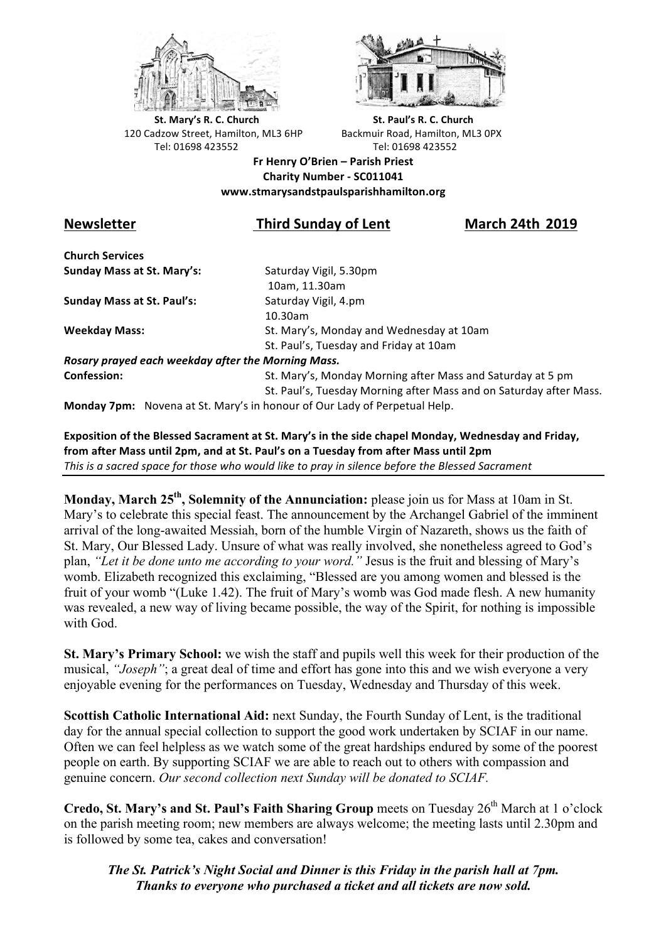



**St.** Mary's R. C. Church St. Paul's R. C. Church 120 Cadzow Street, Hamilton, ML3 6HP Backmuir Road, Hamilton, ML3 0PX Tel: 01698 423552 Tel: 01698 423552

**Fr Henry O'Brien – Parish Priest Charity Number - SC011041 www.stmarysandstpaulsparishhamilton.org**

# **Newsletter Third Sunday of Lent March 24th 2019**

**Church Services Sunday Mass at St. Mary's:** Saturday Vigil, 5.30pm

**Sunday Mass at St. Paul's:** Saturday Vigil, 4.pm

 10am, 11.30am 10.30am **Weekday Mass:** St. Mary's, Monday and Wednesday at 10am St. Paul's, Tuesday and Friday at 10am

*Rosary prayed each weekday after the Morning Mass.* **Confession:** St. Mary's, Monday Morning after Mass and Saturday at 5 pm

St. Paul's, Tuesday Morning after Mass and on Saturday after Mass.

**Monday 7pm:** Novena at St. Mary's in honour of Our Lady of Perpetual Help.

Exposition of the Blessed Sacrament at St. Mary's in the side chapel Monday, Wednesday and Friday, from after Mass until 2pm, and at St. Paul's on a Tuesday from after Mass until 2pm This is a sacred space for those who would like to pray in silence before the Blessed Sacrament

**Monday, March 25th, Solemnity of the Annunciation:** please join us for Mass at 10am in St. Mary's to celebrate this special feast. The announcement by the Archangel Gabriel of the imminent arrival of the long-awaited Messiah, born of the humble Virgin of Nazareth, shows us the faith of St. Mary, Our Blessed Lady. Unsure of what was really involved, she nonetheless agreed to God's plan, *"Let it be done unto me according to your word."* Jesus is the fruit and blessing of Mary's womb. Elizabeth recognized this exclaiming, "Blessed are you among women and blessed is the fruit of your womb "(Luke 1.42). The fruit of Mary's womb was God made flesh. A new humanity was revealed, a new way of living became possible, the way of the Spirit, for nothing is impossible with God.

**St. Mary's Primary School:** we wish the staff and pupils well this week for their production of the musical, *"Joseph"*; a great deal of time and effort has gone into this and we wish everyone a very enjoyable evening for the performances on Tuesday, Wednesday and Thursday of this week.

**Scottish Catholic International Aid:** next Sunday, the Fourth Sunday of Lent, is the traditional day for the annual special collection to support the good work undertaken by SCIAF in our name. Often we can feel helpless as we watch some of the great hardships endured by some of the poorest people on earth. By supporting SCIAF we are able to reach out to others with compassion and genuine concern. *Our second collection next Sunday will be donated to SCIAF.*

**Credo, St. Mary's and St. Paul's Faith Sharing Group** meets on Tuesday 26<sup>th</sup> March at 1 o'clock on the parish meeting room; new members are always welcome; the meeting lasts until 2.30pm and is followed by some tea, cakes and conversation!

*The St. Patrick's Night Social and Dinner is this Friday in the parish hall at 7pm. Thanks to everyone who purchased a ticket and all tickets are now sold.*